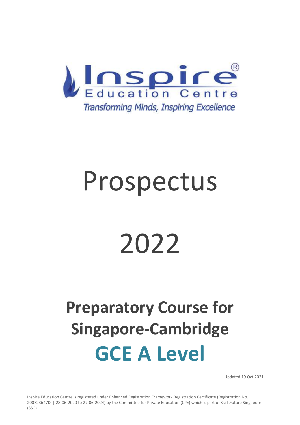

# Prospectus

# 2022

# **Preparatory Course for Singapore-Cambridge GCE A Level**

Updated 19 Oct 2021

Inspire Education Centre is registered under Enhanced Registration Framework Registration Certificate (Registration No. 200723647D | 28-06-2020 to 27-06-2024) by the Committee for Private Education (CPE) which is part of SkillsFuture Singapore (SSG)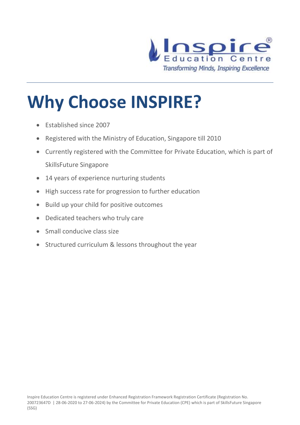

# **Why Choose INSPIRE?**

- Established since 2007
- Registered with the Ministry of Education, Singapore till 2010
- Currently registered with the Committee for Private Education, which is part of SkillsFuture Singapore
- 14 years of experience nurturing students
- High success rate for progression to further education
- Build up your child for positive outcomes
- Dedicated teachers who truly care
- Small conducive class size
- Structured curriculum & lessons throughout the year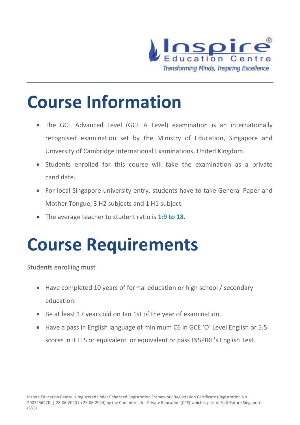

### **Course Information**

- The GCE Advanced Level (GCE A Level) examination is an internationally recognised examination set by the Ministry of Education, Singapore and University of Cambridge International Examinations, United Kingdom.
- Students enrolled for this course will take the examination as a private candidate.
- For local Singapore university entry, students have to take General Paper and Mother Tongue, 3 H2 subjects and 1 H1 subject.
- The average teacher to student ratio is **1:9 to 18**.

### **Course Requirements**

Students enrolling must

- Have completed 10 years of formal education or high school / secondary education.
- Be at least 17 years old on Jan 1st of the year of examination.
- Have a pass in English language of minimum C6 in GCE 'O' Level English or 5.5 scores in IELTS or equivalent or equivalent or pass INSPIRE's English Test.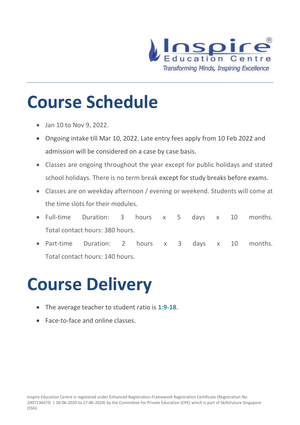

### **Course Schedule**

- Jan 10 to Nov 9, 2022.
- Ongoing intake till Mar 10, 2022. Late entry fees apply from 10 Feb 2022 and admission will be considered on a case by case basis.
- Classes are ongoing throughout the year except for public holidays and stated school holidays. There is no term break except for study breaks before exams.
- Classes are on weekday afternoon / evening or weekend. Students will come at the time slots for their modules.
- Full-time Duration: 3 hours x 5 days x 10 months. Total contact hours: 380 hours.
- Part-time Duration: 2 hours x 3 days x 10 months. Total contact hours: 140 hours.

### **Course Delivery**

- The average teacher to student ratio is **1:9-18**.
- Face-to-face and online classes.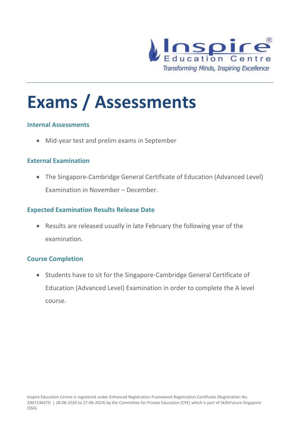

### **Exams / Assessments**

#### **Internal Assessments**

• Mid-year test and prelim exams in September

### **External Examination**

• The Singapore-Cambridge General Certificate of Education (Advanced Level) Examination in November – December.

### **Expected Examination Results Release Date**

• Results are released usually in late February the following year of the examination.

#### **Course Completion**

• Students have to sit for the Singapore-Cambridge General Certificate of Education (Advanced Level) Examination in order to complete the A level course.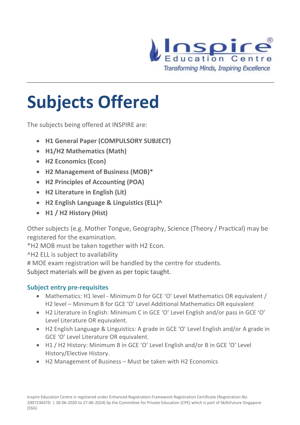

# **Subjects Offered**

The subjects being offered at INSPIRE are:

- **H1 General Paper (COMPULSORY SUBJECT)**
- **H1/H2 Mathematics (Math)**
- **H2 Economics (Econ)**
- **H2 Management of Business (MOB)\***
- **H2 Principles of Accounting (POA)**
- **H2 Literature in English (Lit)**
- **H2 English Language & Linguistics (ELL)^**
- **H1 / H2 History (Hist)**

Other subjects (e.g. Mother Tongue, Geography, Science (Theory / Practical) may be registered for the examination.

\*H2 MOB must be taken together with H2 Econ.

^H2 ELL is subject to availability

# MOE exam registration will be handled by the centre for students.

Subject materials will be given as per topic taught.

### **Subject entry pre-requisites**

- Mathematics: H1 level Minimum D for GCE 'O' Level Mathematics OR equivalent / H2 level – Minimum B for GCE 'O' Level Additional Mathematics OR equivalent
- H2 Literature in English: Minimum C in GCE 'O' Level English and/or pass in GCE 'O' Level Literature OR equivalent.
- H2 English Language & Linguistics: A grade in GCE 'O' Level English and/or A grade in GCE 'O' Level Literature OR equivalent.
- H1 / H2 History: Minimum B in GCE 'O' Level English and/or B in GCE 'O' Level History/Elective History.
- H2 Management of Business Must be taken with H2 Economics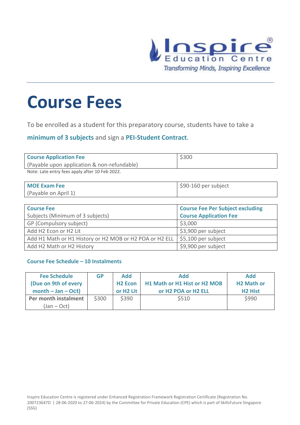

### **Course Fees**

To be enrolled as a student for this preparatory course, students have to take a

**minimum of 3 subjects** and sign a **PEI-Student Contract**.

| <b>Course Application Fee</b>                  | \$300 |
|------------------------------------------------|-------|
| (Payable upon application & non-refundable)    |       |
| Note: Late entry fees apply after 10 Feb 2022. |       |

| <b>MOE Exam Fee</b>  | $$90-160$ per subject |
|----------------------|-----------------------|
| (Payable on April 1) |                       |

| <b>Course Fee</b><br>Subjects (Minimum of 3 subjects)   | <b>Course Fee Per Subject excluding</b><br><b>Course Application Fee</b> |
|---------------------------------------------------------|--------------------------------------------------------------------------|
| GP (Compulsory subject)                                 | \$3,000                                                                  |
| Add H2 Econ or H2 Lit                                   | \$3,900 per subject                                                      |
| Add H1 Math or H1 History or H2 MOB or H2 POA or H2 ELL | $\frac{1}{2}$ \$5,100 per subject                                        |
| Add H2 Math or H2 History                               | \$9,900 per subject                                                      |

#### **Course Fee Schedule – 10 Instalments**

| <b>Fee Schedule</b>                 | GP    | Add                   | <b>Add</b>                   | <b>Add</b>        |
|-------------------------------------|-------|-----------------------|------------------------------|-------------------|
| (Due on 9th of every                |       | <b>H2 Econ</b>        | H1 Math or H1 Hist or H2 MOB | <b>H2 Math or</b> |
| $month - Jan - Oct)$                |       | or H <sub>2</sub> Lit | or H2 POA or H2 ELL          | <b>H2 Hist</b>    |
| Per month instalment<br>(Jan – Oct) | \$300 | \$390                 | \$510                        | \$990             |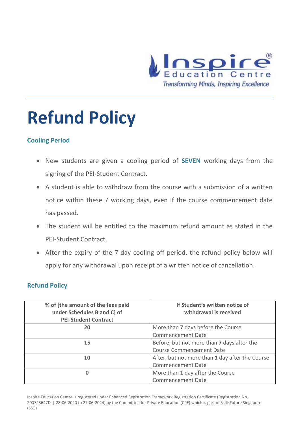

# **Refund Policy**

### **Cooling Period**

- New students are given a cooling period of **SEVEN** working days from the signing of the PEI-Student Contract.
- A student is able to withdraw from the course with a submission of a written notice within these 7 working days, even if the course commencement date has passed.
- The student will be entitled to the maximum refund amount as stated in the PEI-Student Contract.
- After the expiry of the 7-day cooling off period, the refund policy below will apply for any withdrawal upon receipt of a written notice of cancellation.

### **Refund Policy**

| % of [the amount of the fees paid<br>under Schedules B and C] of<br><b>PEI-Student Contract</b> | If Student's written notice of<br>withdrawal is received |
|-------------------------------------------------------------------------------------------------|----------------------------------------------------------|
| 20                                                                                              | More than 7 days before the Course                       |
|                                                                                                 | <b>Commencement Date</b>                                 |
| 15                                                                                              | Before, but not more than 7 days after the               |
|                                                                                                 | <b>Course Commencement Date</b>                          |
| 10                                                                                              | After, but not more than 1 day after the Course          |
|                                                                                                 | <b>Commencement Date</b>                                 |
| 0                                                                                               | More than 1 day after the Course                         |
|                                                                                                 | <b>Commencement Date</b>                                 |

Inspire Education Centre is registered under Enhanced Registration Framework Registration Certificate (Registration No. 200723647D | 28-06-2020 to 27-06-2024) by the Committee for Private Education (CPE) which is part of SkillsFuture Singapore (SSG)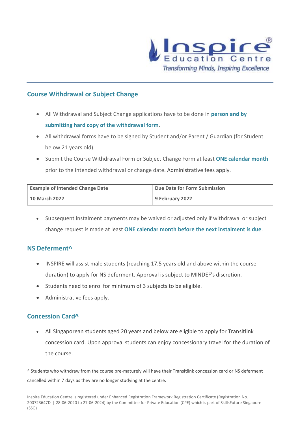

#### **Course Withdrawal or Subject Change**

- All Withdrawal and Subject Change applications have to be done in **person and by submitting hard copy of the withdrawal form**.
- All withdrawal forms have to be signed by Student and/or Parent / Guardian (for Student below 21 years old).
- Submit the Course Withdrawal Form or Subject Change Form at least **ONE calendar month** prior to the intended withdrawal or change date. Administrative fees apply.

| <b>Example of Intended Change Date</b> | Due Date for Form Submission |
|----------------------------------------|------------------------------|
| <b>10 March 2022</b>                   | 9 February 2022              |

• Subsequent instalment payments may be waived or adjusted only if withdrawal or subject change request is made at least **ONE calendar month before the next instalment is due**.

### **NS Deferment^**

- INSPIRE will assist male students (reaching 17.5 years old and above within the course duration) to apply for NS deferment. Approval is subject to MINDEF's discretion.
- Students need to enrol for minimum of 3 subjects to be eligible.
- Administrative fees apply.

#### **Concession Card^**

• All Singaporean students aged 20 years and below are eligible to apply for Transitlink concession card. Upon approval students can enjoy concessionary travel for the duration of the course.

^ Students who withdraw from the course pre-maturely will have their Transitlink concession card or NS deferment cancelled within 7 days as they are no longer studying at the centre.